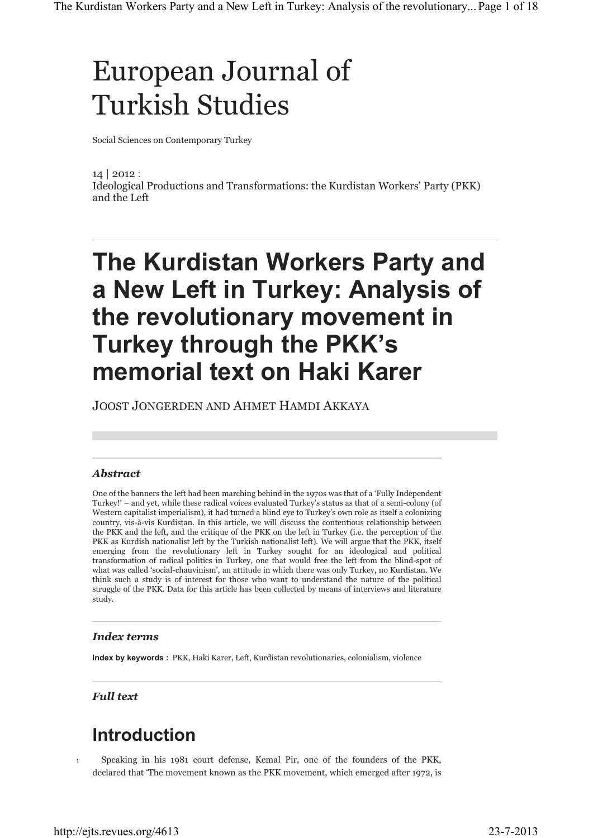# European Journal of Turkish Studies

Social Sciences on Contemporary Turkey

14 | 2012 : Ideological Productions and Transformations: the Kurdistan Workers' Party (PKK) and the Left

## **The Kurdistan Workers Party and a New Left in Turkey: Analysis of the revolutionary movement in Turkey through the PKK's memorial text on Haki Karer**

JOOST JONGERDEN AND AHMET HAMDI AKKAYA

#### *Abstract*

One of the banners the left had been marching behind in the 1970s was that of a 'Fully Independent Turkey!' – and yet, while these radical voices evaluated Turkey's status as that of a semi-colony (of Western capitalist imperialism), it had turned a blind eye to Turkey's own role as itself a colonizing country, vis-à-vis Kurdistan. In this article, we will discuss the contentious relationship between the PKK and the left, and the critique of the PKK on the left in Turkey (i.e. the perception of the PKK as Kurdish nationalist left by the Turkish nationalist left). We will argue that the PKK, itself emerging from the revolutionary left in Turkey sought for an ideological and political transformation of radical politics in Turkey, one that would free the left from the blind-spot of what was called 'social-chauvinism', an attitude in which there was only Turkey, no Kurdistan. We think such a study is of interest for those who want to understand the nature of the political struggle of the PKK. Data for this article has been collected by means of interviews and literature study.

#### *Index terms*

**Index by keywords :** PKK, Haki Karer, Left, Kurdistan revolutionaries, colonialism, violence

*Full text*

### **Introduction**

1

Speaking in his 1981 court defense, Kemal Pir, one of the founders of the PKK, declared that 'The movement known as the PKK movement, which emerged after 1972, is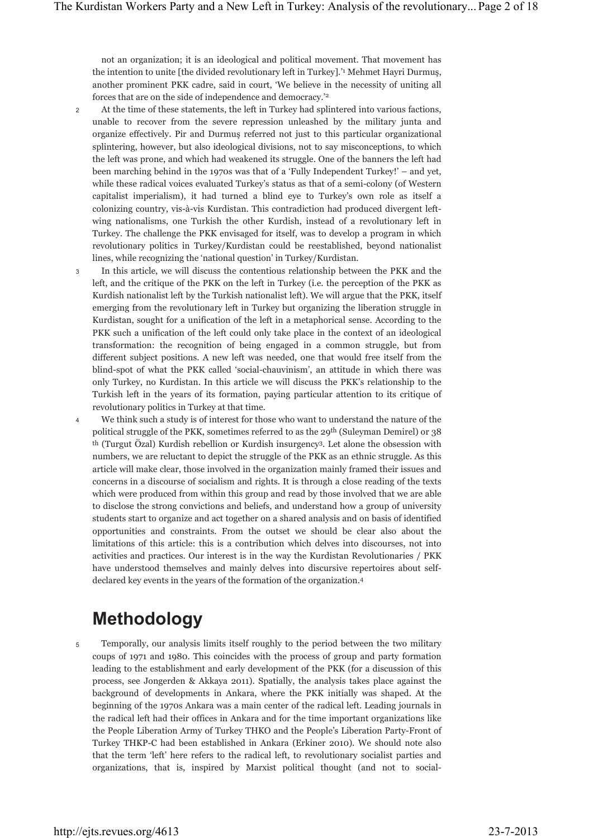not an organization; it is an ideological and political movement. That movement has the intention to unite [the divided revolutionary left in Turkey].'1 Mehmet Hayri Durmuş, another prominent PKK cadre, said in court, 'We believe in the necessity of uniting all forces that are on the side of independence and democracy.'2

- At the time of these statements, the left in Turkey had splintered into various factions, unable to recover from the severe repression unleashed by the military junta and organize effectively. Pir and Durmuş referred not just to this particular organizational splintering, however, but also ideological divisions, not to say misconceptions, to which the left was prone, and which had weakened its struggle. One of the banners the left had been marching behind in the 1970s was that of a 'Fully Independent Turkey!' – and yet, while these radical voices evaluated Turkey's status as that of a semi-colony (of Western capitalist imperialism), it had turned a blind eye to Turkey's own role as itself a colonizing country, vis-à-vis Kurdistan. This contradiction had produced divergent leftwing nationalisms, one Turkish the other Kurdish, instead of a revolutionary left in Turkey. The challenge the PKK envisaged for itself, was to develop a program in which revolutionary politics in Turkey/Kurdistan could be reestablished, beyond nationalist lines, while recognizing the 'national question' in Turkey/Kurdistan. 2
- In this article, we will discuss the contentious relationship between the PKK and the left, and the critique of the PKK on the left in Turkey (i.e. the perception of the PKK as Kurdish nationalist left by the Turkish nationalist left). We will argue that the PKK, itself emerging from the revolutionary left in Turkey but organizing the liberation struggle in Kurdistan, sought for a unification of the left in a metaphorical sense. According to the PKK such a unification of the left could only take place in the context of an ideological transformation: the recognition of being engaged in a common struggle, but from different subject positions. A new left was needed, one that would free itself from the blind-spot of what the PKK called 'social-chauvinism', an attitude in which there was only Turkey, no Kurdistan. In this article we will discuss the PKK's relationship to the Turkish left in the years of its formation, paying particular attention to its critique of revolutionary politics in Turkey at that time. 3
- We think such a study is of interest for those who want to understand the nature of the political struggle of the PKK, sometimes referred to as the 29th (Suleyman Demirel) or 38 th (Turgut Özal) Kurdish rebellion or Kurdish insurgency3. Let alone the obsession with numbers, we are reluctant to depict the struggle of the PKK as an ethnic struggle. As this article will make clear, those involved in the organization mainly framed their issues and concerns in a discourse of socialism and rights. It is through a close reading of the texts which were produced from within this group and read by those involved that we are able to disclose the strong convictions and beliefs, and understand how a group of university students start to organize and act together on a shared analysis and on basis of identified opportunities and constraints. From the outset we should be clear also about the limitations of this article: this is a contribution which delves into discourses, not into activities and practices. Our interest is in the way the Kurdistan Revolutionaries / PKK have understood themselves and mainly delves into discursive repertoires about selfdeclared key events in the years of the formation of the organization.4 4

### **Methodology**

Temporally, our analysis limits itself roughly to the period between the two military coups of 1971 and 1980. This coincides with the process of group and party formation leading to the establishment and early development of the PKK (for a discussion of this process, see Jongerden & Akkaya 2011). Spatially, the analysis takes place against the background of developments in Ankara, where the PKK initially was shaped. At the beginning of the 1970s Ankara was a main center of the radical left. Leading journals in the radical left had their offices in Ankara and for the time important organizations like the People Liberation Army of Turkey THKO and the People's Liberation Party-Front of Turkey THKP-C had been established in Ankara (Erkiner 2010). We should note also that the term 'left' here refers to the radical left, to revolutionary socialist parties and organizations, that is, inspired by Marxist political thought (and not to social-5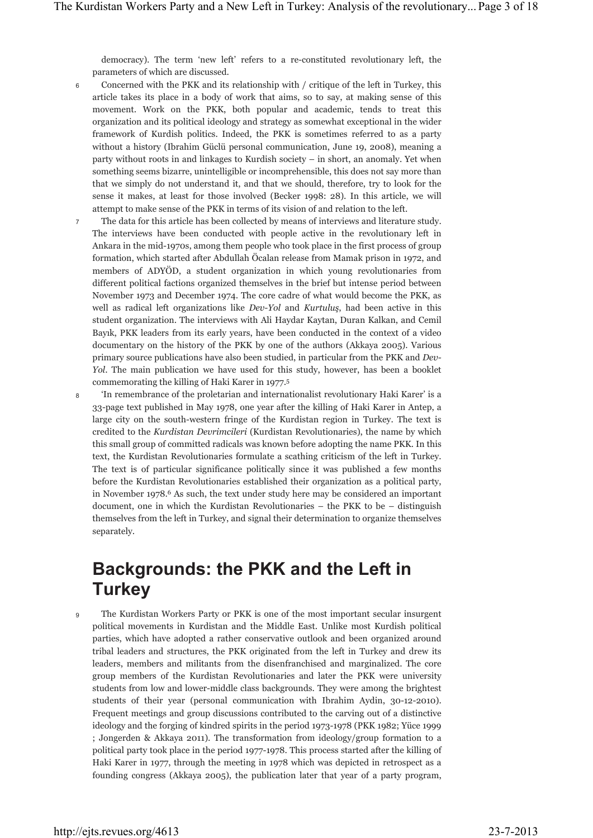democracy). The term 'new left' refers to a re-constituted revolutionary left, the parameters of which are discussed.

- Concerned with the PKK and its relationship with / critique of the left in Turkey, this article takes its place in a body of work that aims, so to say, at making sense of this movement. Work on the PKK, both popular and academic, tends to treat this organization and its political ideology and strategy as somewhat exceptional in the wider framework of Kurdish politics. Indeed, the PKK is sometimes referred to as a party without a history (Ibrahim Güclü personal communication, June 19, 2008), meaning a party without roots in and linkages to Kurdish society – in short, an anomaly. Yet when something seems bizarre, unintelligible or incomprehensible, this does not say more than that we simply do not understand it, and that we should, therefore, try to look for the sense it makes, at least for those involved (Becker 1998: 28). In this article, we will attempt to make sense of the PKK in terms of its vision of and relation to the left. 6
- The data for this article has been collected by means of interviews and literature study. The interviews have been conducted with people active in the revolutionary left in Ankara in the mid-1970s, among them people who took place in the first process of group formation, which started after Abdullah Öcalan release from Mamak prison in 1972, and members of ADYÖD, a student organization in which young revolutionaries from different political factions organized themselves in the brief but intense period between November 1973 and December 1974. The core cadre of what would become the PKK, as well as radical left organizations like *Dev-Yol* and *Kurtuluş*, had been active in this student organization. The interviews with Ali Haydar Kaytan, Duran Kalkan, and Cemil Bayık, PKK leaders from its early years, have been conducted in the context of a video documentary on the history of the PKK by one of the authors (Akkaya 2005). Various primary source publications have also been studied, in particular from the PKK and *Dev-Yol*. The main publication we have used for this study, however, has been a booklet commemorating the killing of Haki Karer in 1977.5 7
- 'In remembrance of the proletarian and internationalist revolutionary Haki Karer' is a 33-page text published in May 1978, one year after the killing of Haki Karer in Antep, a large city on the south-western fringe of the Kurdistan region in Turkey. The text is credited to the *Kurdistan Devrimcileri* (Kurdistan Revolutionaries), the name by which this small group of committed radicals was known before adopting the name PKK. In this text, the Kurdistan Revolutionaries formulate a scathing criticism of the left in Turkey. The text is of particular significance politically since it was published a few months before the Kurdistan Revolutionaries established their organization as a political party, in November 1978.<sup>6</sup> As such, the text under study here may be considered an important document, one in which the Kurdistan Revolutionaries – the PKK to be – distinguish themselves from the left in Turkey, and signal their determination to organize themselves separately. 8

### **Backgrounds: the PKK and the Left in Turkey**

The Kurdistan Workers Party or PKK is one of the most important secular insurgent political movements in Kurdistan and the Middle East. Unlike most Kurdish political parties, which have adopted a rather conservative outlook and been organized around tribal leaders and structures, the PKK originated from the left in Turkey and drew its leaders, members and militants from the disenfranchised and marginalized. The core group members of the Kurdistan Revolutionaries and later the PKK were university students from low and lower-middle class backgrounds. They were among the brightest students of their year (personal communication with Ibrahim Aydin, 30-12-2010). Frequent meetings and group discussions contributed to the carving out of a distinctive ideology and the forging of kindred spirits in the period 1973-1978 (PKK 1982; Yüce 1999 ; Jongerden & Akkaya 2011). The transformation from ideology/group formation to a political party took place in the period 1977-1978. This process started after the killing of Haki Karer in 1977, through the meeting in 1978 which was depicted in retrospect as a founding congress (Akkaya 2005), the publication later that year of a party program, 9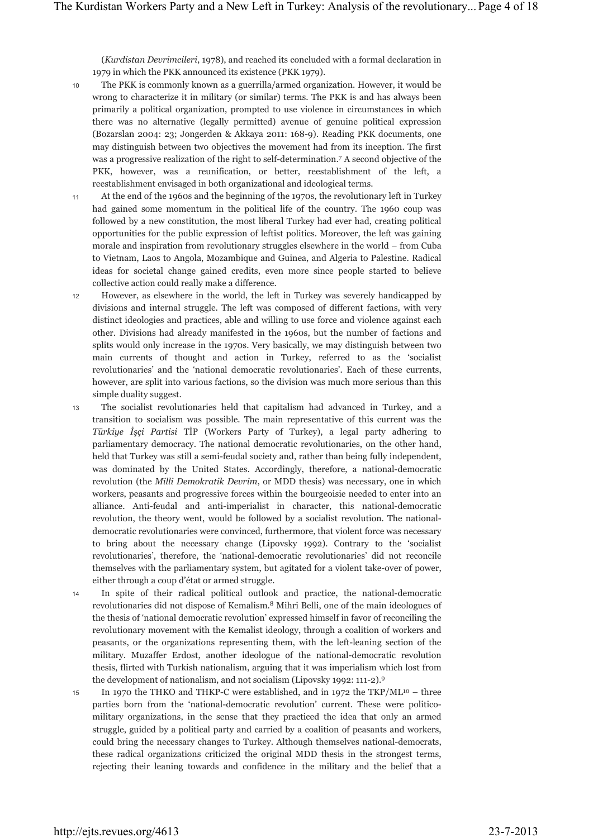(*Kurdistan Devrimcileri*, 1978), and reached its concluded with a formal declaration in 1979 in which the PKK announced its existence (PKK 1979).

- The PKK is commonly known as a guerrilla/armed organization. However, it would be wrong to characterize it in military (or similar) terms. The PKK is and has always been primarily a political organization, prompted to use violence in circumstances in which there was no alternative (legally permitted) avenue of genuine political expression (Bozarslan 2004: 23; Jongerden & Akkaya 2011: 168-9). Reading PKK documents, one may distinguish between two objectives the movement had from its inception. The first was a progressive realization of the right to self-determination.7 A second objective of the PKK, however, was a reunification, or better, reestablishment of the left, a reestablishment envisaged in both organizational and ideological terms. 10
- At the end of the 1960s and the beginning of the 1970s, the revolutionary left in Turkey had gained some momentum in the political life of the country. The 1960 coup was followed by a new constitution, the most liberal Turkey had ever had, creating political opportunities for the public expression of leftist politics. Moreover, the left was gaining morale and inspiration from revolutionary struggles elsewhere in the world – from Cuba to Vietnam, Laos to Angola, Mozambique and Guinea, and Algeria to Palestine. Radical ideas for societal change gained credits, even more since people started to believe collective action could really make a difference. 11
- However, as elsewhere in the world, the left in Turkey was severely handicapped by divisions and internal struggle. The left was composed of different factions, with very distinct ideologies and practices, able and willing to use force and violence against each other. Divisions had already manifested in the 1960s, but the number of factions and splits would only increase in the 1970s. Very basically, we may distinguish between two main currents of thought and action in Turkey, referred to as the 'socialist revolutionaries' and the 'national democratic revolutionaries'. Each of these currents, however, are split into various factions, so the division was much more serious than this simple duality suggest. 12
- The socialist revolutionaries held that capitalism had advanced in Turkey, and a transition to socialism was possible. The main representative of this current was the *Türkiye İşçi Partisi* TİP (Workers Party of Turkey), a legal party adhering to parliamentary democracy. The national democratic revolutionaries, on the other hand, held that Turkey was still a semi-feudal society and, rather than being fully independent, was dominated by the United States. Accordingly, therefore, a national-democratic revolution (the *Milli Demokratik Devrim*, or MDD thesis) was necessary, one in which workers, peasants and progressive forces within the bourgeoisie needed to enter into an alliance. Anti-feudal and anti-imperialist in character, this national-democratic revolution, the theory went, would be followed by a socialist revolution. The nationaldemocratic revolutionaries were convinced, furthermore, that violent force was necessary to bring about the necessary change (Lipovsky 1992). Contrary to the 'socialist revolutionaries', therefore, the 'national-democratic revolutionaries' did not reconcile themselves with the parliamentary system, but agitated for a violent take-over of power, either through a coup d'état or armed struggle. 13
- In spite of their radical political outlook and practice, the national-democratic revolutionaries did not dispose of Kemalism.8 Mihri Belli, one of the main ideologues of the thesis of 'national democratic revolution' expressed himself in favor of reconciling the revolutionary movement with the Kemalist ideology, through a coalition of workers and peasants, or the organizations representing them, with the left-leaning section of the military. Muzaffer Erdost, another ideologue of the national-democratic revolution thesis, flirted with Turkish nationalism, arguing that it was imperialism which lost from the development of nationalism, and not socialism (Lipovsky 1992: 111-2).9 14
- In 1970 the THKO and THKP-C were established, and in 1972 the  $TKP/ML^{10}$  three parties born from the 'national-democratic revolution' current. These were politicomilitary organizations, in the sense that they practiced the idea that only an armed struggle, guided by a political party and carried by a coalition of peasants and workers, could bring the necessary changes to Turkey. Although themselves national-democrats, these radical organizations criticized the original MDD thesis in the strongest terms, rejecting their leaning towards and confidence in the military and the belief that a 15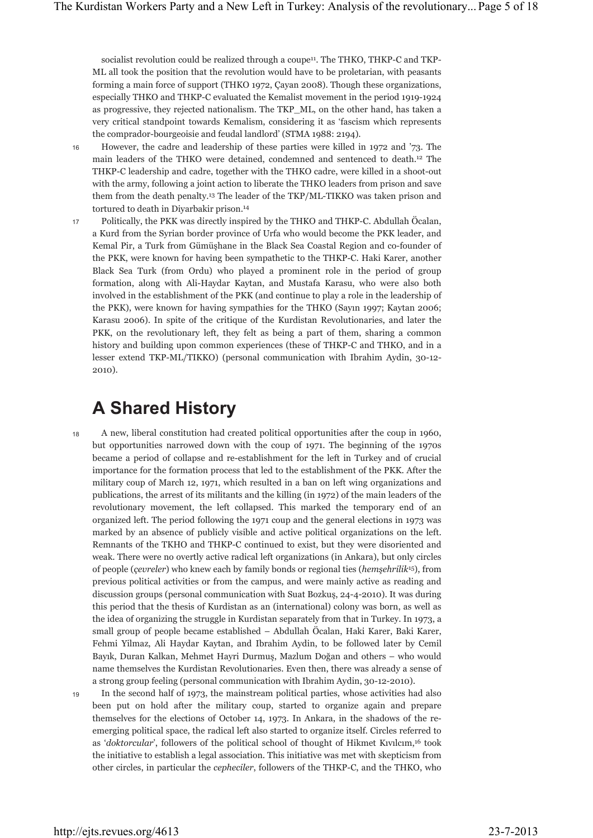socialist revolution could be realized through a coupe<sup>11</sup>. The THKO, THKP-C and TKP-ML all took the position that the revolution would have to be proletarian, with peasants forming a main force of support (THKO 1972, Çayan 2008). Though these organizations, especially THKO and THKP-C evaluated the Kemalist movement in the period 1919-1924 as progressive, they rejected nationalism. The TKP\_ML, on the other hand, has taken a very critical standpoint towards Kemalism, considering it as 'fascism which represents the comprador-bourgeoisie and feudal landlord' (STMA 1988: 2194).

16

18

19

However, the cadre and leadership of these parties were killed in 1972 and '73. The main leaders of the THKO were detained, condemned and sentenced to death.12 The THKP-C leadership and cadre, together with the THKO cadre, were killed in a shoot-out with the army, following a joint action to liberate the THKO leaders from prison and save them from the death penalty.13 The leader of the TKP/ML-TIKKO was taken prison and tortured to death in Diyarbakir prison.14

Politically, the PKK was directly inspired by the THKO and THKP-C. Abdullah Öcalan, a Kurd from the Syrian border province of Urfa who would become the PKK leader, and Kemal Pir, a Turk from Gümüşhane in the Black Sea Coastal Region and co-founder of the PKK, were known for having been sympathetic to the THKP-C. Haki Karer, another Black Sea Turk (from Ordu) who played a prominent role in the period of group formation, along with Ali-Haydar Kaytan, and Mustafa Karasu, who were also both involved in the establishment of the PKK (and continue to play a role in the leadership of the PKK), were known for having sympathies for the THKO (Sayın 1997; Kaytan 2006; Karasu 2006). In spite of the critique of the Kurdistan Revolutionaries, and later the PKK, on the revolutionary left, they felt as being a part of them, sharing a common history and building upon common experiences (these of THKP-C and THKO, and in a lesser extend TKP-ML/TIKKO) (personal communication with Ibrahim Aydin, 30-12- 2010). 17

### **A Shared History**

A new, liberal constitution had created political opportunities after the coup in 1960, but opportunities narrowed down with the coup of 1971. The beginning of the 1970s became a period of collapse and re-establishment for the left in Turkey and of crucial importance for the formation process that led to the establishment of the PKK. After the military coup of March 12, 1971, which resulted in a ban on left wing organizations and publications, the arrest of its militants and the killing (in 1972) of the main leaders of the revolutionary movement, the left collapsed. This marked the temporary end of an organized left. The period following the 1971 coup and the general elections in 1973 was marked by an absence of publicly visible and active political organizations on the left. Remnants of the TKHO and THKP-C continued to exist, but they were disoriented and weak. There were no overtly active radical left organizations (in Ankara), but only circles of people (*çevreler*) who knew each by family bonds or regional ties (*hemşehrilik*15), from previous political activities or from the campus, and were mainly active as reading and discussion groups (personal communication with Suat Bozkuş, 24-4-2010). It was during this period that the thesis of Kurdistan as an (international) colony was born, as well as the idea of organizing the struggle in Kurdistan separately from that in Turkey. In 1973, a small group of people became established – Abdullah Öcalan, Haki Karer, Baki Karer, Fehmi Yilmaz, Ali Haydar Kaytan, and Ibrahim Aydin, to be followed later by Cemil Bayık, Duran Kalkan, Mehmet Hayri Durmuş, Mazlum Doğan and others – who would name themselves the Kurdistan Revolutionaries. Even then, there was already a sense of a strong group feeling (personal communication with Ibrahim Aydin, 30-12-2010).

In the second half of 1973, the mainstream political parties, whose activities had also been put on hold after the military coup, started to organize again and prepare themselves for the elections of October 14, 1973. In Ankara, in the shadows of the reemerging political space, the radical left also started to organize itself. Circles referred to as '*doktorcular*', followers of the political school of thought of Hikmet Kıvılcım,16 took the initiative to establish a legal association. This initiative was met with skepticism from other circles, in particular the *cepheciler*, followers of the THKP-C, and the THKO, who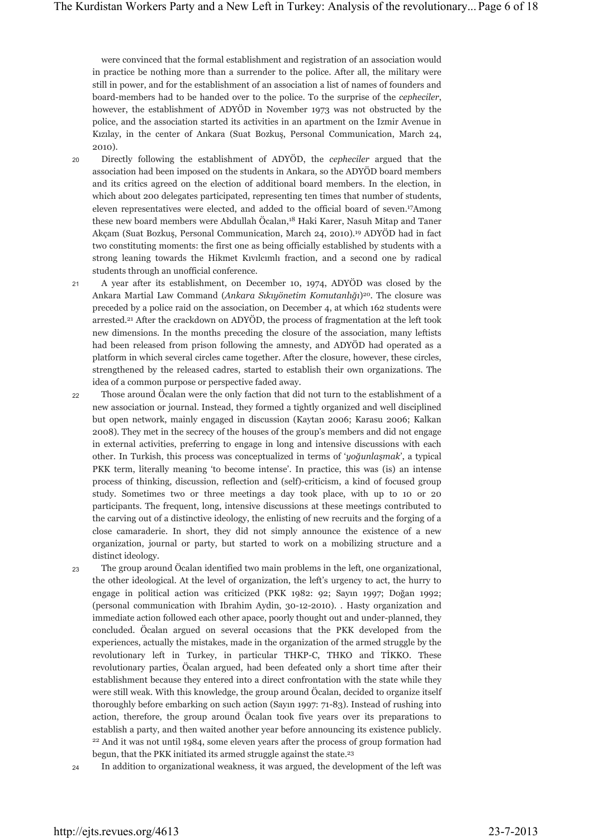were convinced that the formal establishment and registration of an association would in practice be nothing more than a surrender to the police. After all, the military were still in power, and for the establishment of an association a list of names of founders and board-members had to be handed over to the police. To the surprise of the *cepheciler*, however, the establishment of ADYÖD in November 1973 was not obstructed by the police, and the association started its activities in an apartment on the Izmir Avenue in Kızılay, in the center of Ankara (Suat Bozkuş, Personal Communication, March 24, 2010).

- Directly following the establishment of ADYÖD, the *cepheciler* argued that the association had been imposed on the students in Ankara, so the ADYÖD board members and its critics agreed on the election of additional board members. In the election, in which about 200 delegates participated, representing ten times that number of students, eleven representatives were elected, and added to the official board of seven.17Among these new board members were Abdullah Öcalan,18 Haki Karer, Nasuh Mitap and Taner Akçam (Suat Bozkuş, Personal Communication, March 24, 2010).19 ADYÖD had in fact two constituting moments: the first one as being officially established by students with a strong leaning towards the Hikmet Kıvılcımlı fraction, and a second one by radical students through an unofficial conference. 20
- A year after its establishment, on December 10, 1974, ADYÖD was closed by the Ankara Martial Law Command (*Ankara Sıkıyönetim Komutanlığı*)20. The closure was preceded by a police raid on the association, on December 4, at which 162 students were arrested.<sup>21</sup> After the crackdown on ADYÖD, the process of fragmentation at the left took new dimensions. In the months preceding the closure of the association, many leftists had been released from prison following the amnesty, and ADYÖD had operated as a platform in which several circles came together. After the closure, however, these circles, strengthened by the released cadres, started to establish their own organizations. The idea of a common purpose or perspective faded away. 21
- Those around Öcalan were the only faction that did not turn to the establishment of a new association or journal. Instead, they formed a tightly organized and well disciplined but open network, mainly engaged in discussion (Kaytan 2006; Karasu 2006; Kalkan 2008). They met in the secrecy of the houses of the group's members and did not engage in external activities, preferring to engage in long and intensive discussions with each other. In Turkish, this process was conceptualized in terms of '*yoğunlaşmak*', a typical PKK term, literally meaning 'to become intense'. In practice, this was (is) an intense process of thinking, discussion, reflection and (self)-criticism, a kind of focused group study. Sometimes two or three meetings a day took place, with up to 10 or 20 participants. The frequent, long, intensive discussions at these meetings contributed to the carving out of a distinctive ideology, the enlisting of new recruits and the forging of a close camaraderie. In short, they did not simply announce the existence of a new organization, journal or party, but started to work on a mobilizing structure and a distinct ideology. 22
- The group around Öcalan identified two main problems in the left, one organizational, the other ideological. At the level of organization, the left's urgency to act, the hurry to engage in political action was criticized (PKK 1982: 92; Sayın 1997; Doğan 1992; (personal communication with Ibrahim Aydin, 30-12-2010). . Hasty organization and immediate action followed each other apace, poorly thought out and under-planned, they concluded. Öcalan argued on several occasions that the PKK developed from the experiences, actually the mistakes, made in the organization of the armed struggle by the revolutionary left in Turkey, in particular THKP-C, THKO and TİKKO. These revolutionary parties, Öcalan argued, had been defeated only a short time after their establishment because they entered into a direct confrontation with the state while they were still weak. With this knowledge, the group around Öcalan, decided to organize itself thoroughly before embarking on such action (Sayın 1997: 71-83). Instead of rushing into action, therefore, the group around Öcalan took five years over its preparations to establish a party, and then waited another year before announcing its existence publicly. 22 And it was not until 1984, some eleven years after the process of group formation had begun, that the PKK initiated its armed struggle against the state.<sup>23</sup> 23

24 In addition to organizational weakness, it was argued, the development of the left was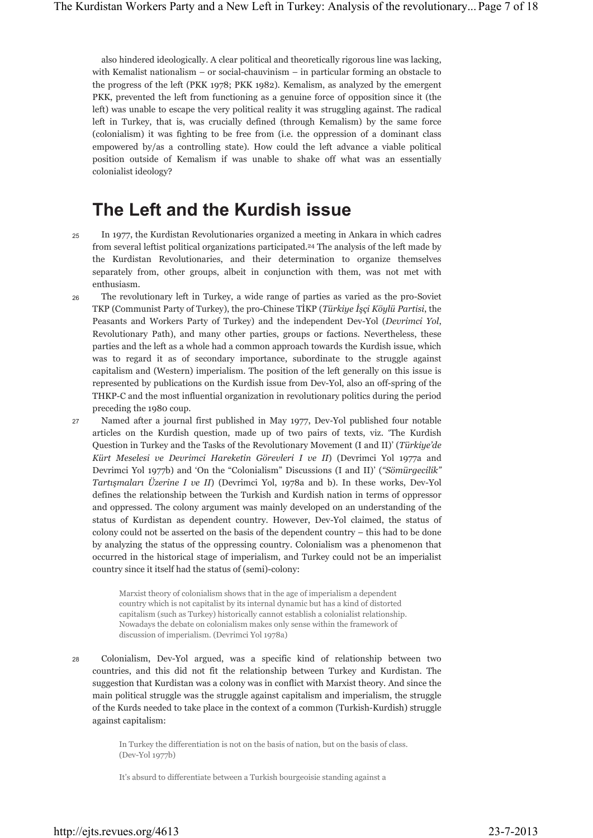also hindered ideologically. A clear political and theoretically rigorous line was lacking, with Kemalist nationalism – or social-chauvinism – in particular forming an obstacle to the progress of the left (PKK 1978; PKK 1982). Kemalism, as analyzed by the emergent PKK, prevented the left from functioning as a genuine force of opposition since it (the left) was unable to escape the very political reality it was struggling against. The radical left in Turkey, that is, was crucially defined (through Kemalism) by the same force (colonialism) it was fighting to be free from (i.e. the oppression of a dominant class empowered by/as a controlling state). How could the left advance a viable political position outside of Kemalism if was unable to shake off what was an essentially colonialist ideology?

### **The Left and the Kurdish issue**

- In 1977, the Kurdistan Revolutionaries organized a meeting in Ankara in which cadres from several leftist political organizations participated.<sup>24</sup> The analysis of the left made by the Kurdistan Revolutionaries, and their determination to organize themselves separately from, other groups, albeit in conjunction with them, was not met with enthusiasm. 25
- The revolutionary left in Turkey, a wide range of parties as varied as the pro-Soviet TKP (Communist Party of Turkey), the pro-Chinese TİKP (*Türkiye İşçi Köylü Partisi*, the Peasants and Workers Party of Turkey) and the independent Dev-Yol (*Devrimci Yol*, Revolutionary Path), and many other parties, groups or factions. Nevertheless, these parties and the left as a whole had a common approach towards the Kurdish issue, which was to regard it as of secondary importance, subordinate to the struggle against capitalism and (Western) imperialism. The position of the left generally on this issue is represented by publications on the Kurdish issue from Dev-Yol, also an off-spring of the THKP-C and the most influential organization in revolutionary politics during the period preceding the 1980 coup. 26
- Named after a journal first published in May 1977, Dev-Yol published four notable articles on the Kurdish question, made up of two pairs of texts, viz. 'The Kurdish Question in Turkey and the Tasks of the Revolutionary Movement (I and II)' (*Türkiye'de Kürt Meselesi ve Devrimci Hareketin Görevleri I ve II*) (Devrimci Yol 1977a and Devrimci Yol 1977b) and 'On the "Colonialism" Discussions (I and II)' (*"Sömürgecilik" Tartışmaları Üzerine I ve II*) (Devrimci Yol, 1978a and b). In these works, Dev-Yol defines the relationship between the Turkish and Kurdish nation in terms of oppressor and oppressed. The colony argument was mainly developed on an understanding of the status of Kurdistan as dependent country. However, Dev-Yol claimed, the status of colony could not be asserted on the basis of the dependent country – this had to be done by analyzing the status of the oppressing country. Colonialism was a phenomenon that occurred in the historical stage of imperialism, and Turkey could not be an imperialist country since it itself had the status of (semi)-colony: 27

Marxist theory of colonialism shows that in the age of imperialism a dependent country which is not capitalist by its internal dynamic but has a kind of distorted capitalism (such as Turkey) historically cannot establish a colonialist relationship. Nowadays the debate on colonialism makes only sense within the framework of discussion of imperialism. (Devrimci Yol 1978a)

Colonialism, Dev-Yol argued, was a specific kind of relationship between two countries, and this did not fit the relationship between Turkey and Kurdistan. The suggestion that Kurdistan was a colony was in conflict with Marxist theory. And since the main political struggle was the struggle against capitalism and imperialism, the struggle of the Kurds needed to take place in the context of a common (Turkish-Kurdish) struggle against capitalism: 28

> In Turkey the differentiation is not on the basis of nation, but on the basis of class. (Dev-Yol 1977b)

It's absurd to differentiate between a Turkish bourgeoisie standing against a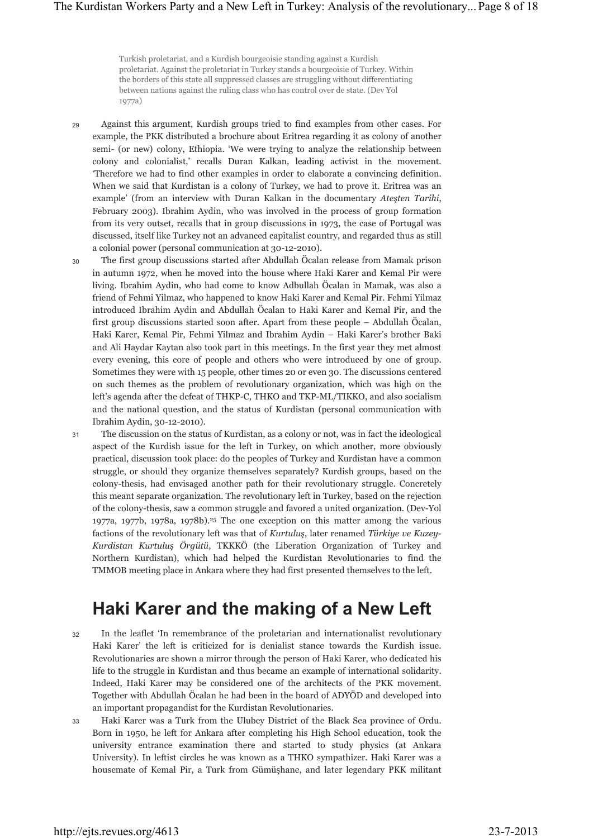Turkish proletariat, and a Kurdish bourgeoisie standing against a Kurdish proletariat. Against the proletariat in Turkey stands a bourgeoisie of Turkey. Within the borders of this state all suppressed classes are struggling without differentiating between nations against the ruling class who has control over de state. (Dev Yol 1977a)

- Against this argument, Kurdish groups tried to find examples from other cases. For example, the PKK distributed a brochure about Eritrea regarding it as colony of another semi- (or new) colony, Ethiopia. 'We were trying to analyze the relationship between colony and colonialist,' recalls Duran Kalkan, leading activist in the movement. 'Therefore we had to find other examples in order to elaborate a convincing definition. When we said that Kurdistan is a colony of Turkey, we had to prove it. Eritrea was an example' (from an interview with Duran Kalkan in the documentary *Ateşten Tarihi*, February 2003). Ibrahim Aydin, who was involved in the process of group formation from its very outset, recalls that in group discussions in 1973, the case of Portugal was discussed, itself like Turkey not an advanced capitalist country, and regarded thus as still a colonial power (personal communication at 30-12-2010).  $29$
- The first group discussions started after Abdullah Öcalan release from Mamak prison in autumn 1972, when he moved into the house where Haki Karer and Kemal Pir were living. Ibrahim Aydin, who had come to know Adbullah Öcalan in Mamak, was also a friend of Fehmi Yilmaz, who happened to know Haki Karer and Kemal Pir. Fehmi Yilmaz introduced Ibrahim Aydin and Abdullah Öcalan to Haki Karer and Kemal Pir, and the first group discussions started soon after. Apart from these people – Abdullah Öcalan, Haki Karer, Kemal Pir, Fehmi Yilmaz and Ibrahim Aydin – Haki Karer's brother Baki and Ali Haydar Kaytan also took part in this meetings. In the first year they met almost every evening, this core of people and others who were introduced by one of group. Sometimes they were with 15 people, other times 20 or even 30. The discussions centered on such themes as the problem of revolutionary organization, which was high on the left's agenda after the defeat of THKP-C, THKO and TKP-ML/TIKKO, and also socialism and the national question, and the status of Kurdistan (personal communication with Ibrahim Aydin, 30-12-2010). 30
- The discussion on the status of Kurdistan, as a colony or not, was in fact the ideological aspect of the Kurdish issue for the left in Turkey, on which another, more obviously practical, discussion took place: do the peoples of Turkey and Kurdistan have a common struggle, or should they organize themselves separately? Kurdish groups, based on the colony-thesis, had envisaged another path for their revolutionary struggle. Concretely this meant separate organization. The revolutionary left in Turkey, based on the rejection of the colony-thesis, saw a common struggle and favored a united organization. (Dev-Yol 1977a, 1977b, 1978a, 1978b).25 The one exception on this matter among the various factions of the revolutionary left was that of *Kurtuluş*, later renamed *Türkiye ve Kuzey-Kurdistan Kurtuluş Örgütü*, TKKKÖ (the Liberation Organization of Turkey and Northern Kurdistan), which had helped the Kurdistan Revolutionaries to find the TMMOB meeting place in Ankara where they had first presented themselves to the left. 31

### **Haki Karer and the making of a New Left**

- In the leaflet 'In remembrance of the proletarian and internationalist revolutionary Haki Karer' the left is criticized for is denialist stance towards the Kurdish issue. Revolutionaries are shown a mirror through the person of Haki Karer, who dedicated his life to the struggle in Kurdistan and thus became an example of international solidarity. Indeed, Haki Karer may be considered one of the architects of the PKK movement. Together with Abdullah Öcalan he had been in the board of ADYÖD and developed into an important propagandist for the Kurdistan Revolutionaries. 32
- Haki Karer was a Turk from the Ulubey District of the Black Sea province of Ordu. Born in 1950, he left for Ankara after completing his High School education, took the university entrance examination there and started to study physics (at Ankara University). In leftist circles he was known as a THKO sympathizer. Haki Karer was a housemate of Kemal Pir, a Turk from Gümüşhane, and later legendary PKK militant 33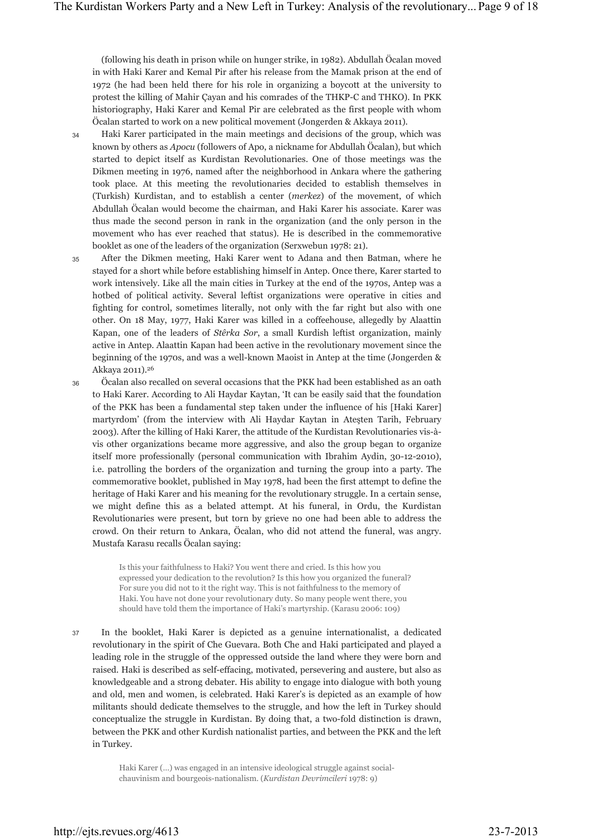(following his death in prison while on hunger strike, in 1982). Abdullah Öcalan moved in with Haki Karer and Kemal Pir after his release from the Mamak prison at the end of 1972 (he had been held there for his role in organizing a boycott at the university to protest the killing of Mahir Çayan and his comrades of the THKP-C and THKO). In PKK historiography, Haki Karer and Kemal Pir are celebrated as the first people with whom Öcalan started to work on a new political movement (Jongerden & Akkaya 2011).

- Haki Karer participated in the main meetings and decisions of the group, which was known by others as *Apocu* (followers of Apo, a nickname for Abdullah Öcalan), but which started to depict itself as Kurdistan Revolutionaries. One of those meetings was the Dikmen meeting in 1976, named after the neighborhood in Ankara where the gathering took place. At this meeting the revolutionaries decided to establish themselves in (Turkish) Kurdistan, and to establish a center (*merkez*) of the movement, of which Abdullah Öcalan would become the chairman, and Haki Karer his associate. Karer was thus made the second person in rank in the organization (and the only person in the movement who has ever reached that status). He is described in the commemorative booklet as one of the leaders of the organization (Serxwebun 1978: 21). 34
- After the Dikmen meeting, Haki Karer went to Adana and then Batman, where he stayed for a short while before establishing himself in Antep. Once there, Karer started to work intensively. Like all the main cities in Turkey at the end of the 1970s, Antep was a hotbed of political activity. Several leftist organizations were operative in cities and fighting for control, sometimes literally, not only with the far right but also with one other. On 18 May, 1977, Haki Karer was killed in a coffeehouse, allegedly by Alaattin Kapan, one of the leaders of *Stêrka Sor*, a small Kurdish leftist organization, mainly active in Antep. Alaattin Kapan had been active in the revolutionary movement since the beginning of the 1970s, and was a well-known Maoist in Antep at the time (Jongerden & Akkaya 2011).26 35
	- Öcalan also recalled on several occasions that the PKK had been established as an oath to Haki Karer. According to Ali Haydar Kaytan, 'It can be easily said that the foundation of the PKK has been a fundamental step taken under the influence of his [Haki Karer] martyrdom' (from the interview with Ali Haydar Kaytan in Ateşten Tarih, February 2003). After the killing of Haki Karer, the attitude of the Kurdistan Revolutionaries vis-àvis other organizations became more aggressive, and also the group began to organize itself more professionally (personal communication with Ibrahim Aydin, 30-12-2010), i.e. patrolling the borders of the organization and turning the group into a party. The commemorative booklet, published in May 1978, had been the first attempt to define the heritage of Haki Karer and his meaning for the revolutionary struggle. In a certain sense, we might define this as a belated attempt. At his funeral, in Ordu, the Kurdistan Revolutionaries were present, but torn by grieve no one had been able to address the crowd. On their return to Ankara, Öcalan, who did not attend the funeral, was angry. Mustafa Karasu recalls Öcalan saying:

Is this your faithfulness to Haki? You went there and cried. Is this how you expressed your dedication to the revolution? Is this how you organized the funeral? For sure you did not to it the right way. This is not faithfulness to the memory of Haki. You have not done your revolutionary duty. So many people went there, you should have told them the importance of Haki's martyrship. (Karasu 2006: 109)

In the booklet, Haki Karer is depicted as a genuine internationalist, a dedicated revolutionary in the spirit of Che Guevara. Both Che and Haki participated and played a leading role in the struggle of the oppressed outside the land where they were born and raised. Haki is described as self-effacing, motivated, persevering and austere, but also as knowledgeable and a strong debater. His ability to engage into dialogue with both young and old, men and women, is celebrated. Haki Karer's is depicted as an example of how militants should dedicate themselves to the struggle, and how the left in Turkey should conceptualize the struggle in Kurdistan. By doing that, a two-fold distinction is drawn, between the PKK and other Kurdish nationalist parties, and between the PKK and the left in Turkey. 37

> Haki Karer (…) was engaged in an intensive ideological struggle against socialchauvinism and bourgeois-nationalism. (*Kurdistan Devrimcileri* 1978: 9)

36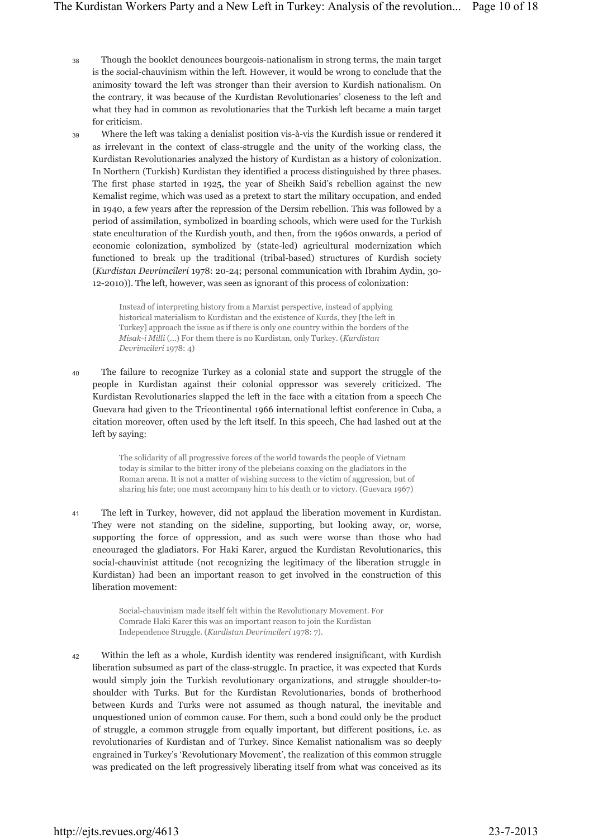- Though the booklet denounces bourgeois-nationalism in strong terms, the main target is the social-chauvinism within the left. However, it would be wrong to conclude that the animosity toward the left was stronger than their aversion to Kurdish nationalism. On the contrary, it was because of the Kurdistan Revolutionaries' closeness to the left and what they had in common as revolutionaries that the Turkish left became a main target for criticism. 38
- Where the left was taking a denialist position vis-à-vis the Kurdish issue or rendered it as irrelevant in the context of class-struggle and the unity of the working class, the Kurdistan Revolutionaries analyzed the history of Kurdistan as a history of colonization. In Northern (Turkish) Kurdistan they identified a process distinguished by three phases. The first phase started in 1925, the year of Sheikh Said's rebellion against the new Kemalist regime, which was used as a pretext to start the military occupation, and ended in 1940, a few years after the repression of the Dersim rebellion. This was followed by a period of assimilation, symbolized in boarding schools, which were used for the Turkish state enculturation of the Kurdish youth, and then, from the 1960s onwards, a period of economic colonization, symbolized by (state-led) agricultural modernization which functioned to break up the traditional (tribal-based) structures of Kurdish society (*Kurdistan Devrimcileri* 1978: 20-24; personal communication with Ibrahim Aydin, 30- 12-2010)). The left, however, was seen as ignorant of this process of colonization: 39

Instead of interpreting history from a Marxist perspective, instead of applying historical materialism to Kurdistan and the existence of Kurds, they [the left in Turkey] approach the issue as if there is only one country within the borders of the *Misak-i Milli* (…) For them there is no Kurdistan, only Turkey. (*Kurdistan Devrimcileri* 1978: 4)

The failure to recognize Turkey as a colonial state and support the struggle of the people in Kurdistan against their colonial oppressor was severely criticized. The Kurdistan Revolutionaries slapped the left in the face with a citation from a speech Che Guevara had given to the Tricontinental 1966 international leftist conference in Cuba, a citation moreover, often used by the left itself. In this speech, Che had lashed out at the left by saying: 40

> The solidarity of all progressive forces of the world towards the people of Vietnam today is similar to the bitter irony of the plebeians coaxing on the gladiators in the Roman arena. It is not a matter of wishing success to the victim of aggression, but of sharing his fate; one must accompany him to his death or to victory. (Guevara 1967)

The left in Turkey, however, did not applaud the liberation movement in Kurdistan. They were not standing on the sideline, supporting, but looking away, or, worse, supporting the force of oppression, and as such were worse than those who had encouraged the gladiators. For Haki Karer, argued the Kurdistan Revolutionaries, this social-chauvinist attitude (not recognizing the legitimacy of the liberation struggle in Kurdistan) had been an important reason to get involved in the construction of this liberation movement: 41

> Social-chauvinism made itself felt within the Revolutionary Movement. For Comrade Haki Karer this was an important reason to join the Kurdistan Independence Struggle. (*Kurdistan Devrimcileri* 1978: 7).

Within the left as a whole, Kurdish identity was rendered insignificant, with Kurdish liberation subsumed as part of the class-struggle. In practice, it was expected that Kurds would simply join the Turkish revolutionary organizations, and struggle shoulder-toshoulder with Turks. But for the Kurdistan Revolutionaries, bonds of brotherhood between Kurds and Turks were not assumed as though natural, the inevitable and unquestioned union of common cause. For them, such a bond could only be the product of struggle, a common struggle from equally important, but different positions, i.e. as revolutionaries of Kurdistan and of Turkey. Since Kemalist nationalism was so deeply engrained in Turkey's 'Revolutionary Movement', the realization of this common struggle was predicated on the left progressively liberating itself from what was conceived as its 42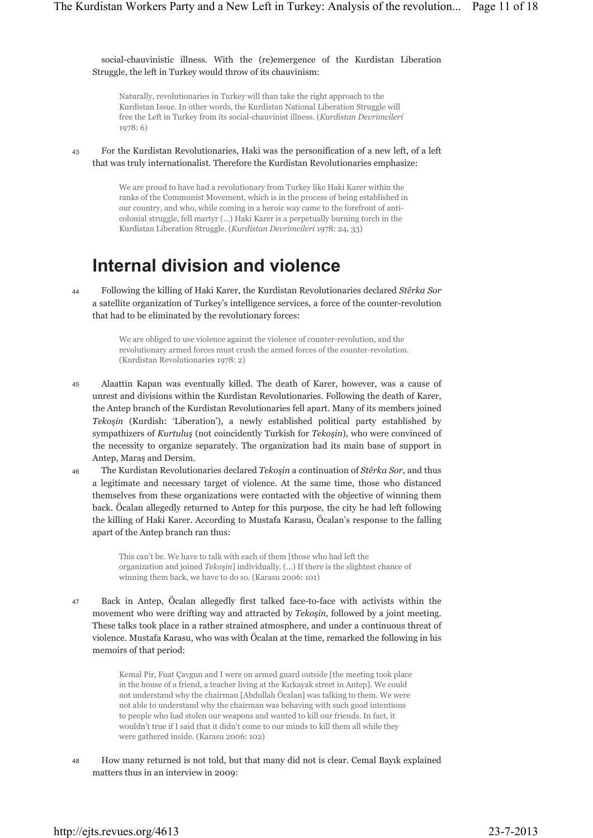social-chauvinistic illness. With the (re)emergence of the Kurdistan Liberation Struggle, the left in Turkey would throw of its chauvinism:

Naturally, revolutionaries in Turkey will than take the right approach to the Kurdistan Issue. In other words, the Kurdistan National Liberation Struggle will free the Left in Turkey from its social-chauvinist illness. (*Kurdistan Devrimcileri* 1978: 6)

For the Kurdistan Revolutionaries, Haki was the personification of a new left, of a left that was truly internationalist. Therefore the Kurdistan Revolutionaries emphasize: 43

> We are proud to have had a revolutionary from Turkey like Haki Karer within the ranks of the Communist Movement, which is in the process of being established in our country, and who, while coming in a heroic way came to the forefront of anticolonial struggle, fell martyr (…) Haki Karer is a perpetually burning torch in the Kurdistan Liberation Struggle. (*Kurdistan Devrimcileri* 1978: 24, 33)

### **Internal division and violence**

Following the killing of Haki Karer, the Kurdistan Revolutionaries declared *Stêrka Sor* a satellite organization of Turkey's intelligence services, a force of the counter-revolution that had to be eliminated by the revolutionary forces: 44

> We are obliged to use violence against the violence of counter-revolution, and the revolutionary armed forces must crush the armed forces of the counter-revolution. (Kurdistan Revolutionaries 1978: 2)

- Alaattin Kapan was eventually killed. The death of Karer, however, was a cause of unrest and divisions within the Kurdistan Revolutionaries. Following the death of Karer, the Antep branch of the Kurdistan Revolutionaries fell apart. Many of its members joined *Tekoşin* (Kurdish: 'Liberation'), a newly established political party established by sympathizers of *Kurtuluş* (not coincidently Turkish for *Tekoşin*), who were convinced of the necessity to organize separately. The organization had its main base of support in Antep, Maraş and Dersim. 45
- The Kurdistan Revolutionaries declared *Tekoşin* a continuation of *Stêrka Sor*, and thus a legitimate and necessary target of violence. At the same time, those who distanced themselves from these organizations were contacted with the objective of winning them back. Öcalan allegedly returned to Antep for this purpose, the city he had left following the killing of Haki Karer. According to Mustafa Karasu, Öcalan's response to the falling apart of the Antep branch ran thus: 46

This can't be. We have to talk with each of them [those who had left the organization and joined *Tekoşin*] individually. (…) If there is the slightest chance of winning them back, we have to do so. (Karasu 2006: 101)

Back in Antep, Öcalan allegedly first talked face-to-face with activists within the movement who were drifting way and attracted by *Tekoşin*, followed by a joint meeting. These talks took place in a rather strained atmosphere, and under a continuous threat of violence. Mustafa Karasu, who was with Öcalan at the time, remarked the following in his memoirs of that period: 47

> Kemal Pir, Fuat Çavgun and I were on armed guard outside [the meeting took place in the house of a friend, a teacher living at the Kırkayak street in Antep]. We could not understand why the chairman [Abdullah Öcalan] was talking to them. We were not able to understand why the chairman was behaving with such good intentions to people who had stolen our weapons and wanted to kill our friends. In fact, it wouldn't true if I said that it didn't come to our minds to kill them all while they were gathered inside. (Karasu 2006: 102)

How many returned is not told, but that many did not is clear. Cemal Bayık explained matters thus in an interview in 2009: 48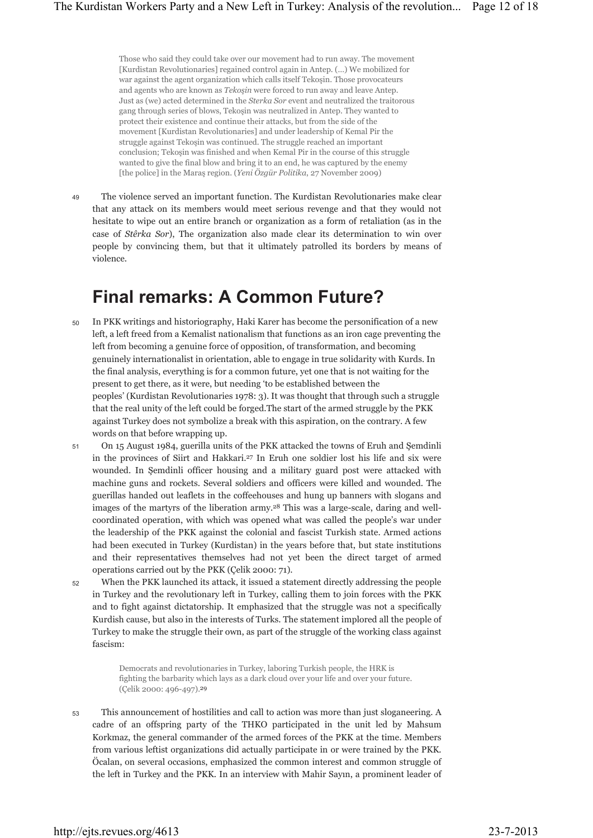Those who said they could take over our movement had to run away. The movement [Kurdistan Revolutionaries] regained control again in Antep. (…) We mobilized for war against the agent organization which calls itself Tekoşin. Those provocateurs and agents who are known as *Tekoşin* were forced to run away and leave Antep. Just as (we) acted determined in the *Sterka Sor* event and neutralized the traitorous gang through series of blows, Tekoşin was neutralized in Antep. They wanted to protect their existence and continue their attacks, but from the side of the movement [Kurdistan Revolutionaries] and under leadership of Kemal Pir the struggle against Tekoşin was continued. The struggle reached an important conclusion; Tekoşin was finished and when Kemal Pir in the course of this struggle wanted to give the final blow and bring it to an end, he was captured by the enemy [the police] in the Maraş region. (*Yeni Özgür Politika*, 27 November 2009)

The violence served an important function. The Kurdistan Revolutionaries make clear that any attack on its members would meet serious revenge and that they would not hesitate to wipe out an entire branch or organization as a form of retaliation (as in the case of *Stêrka Sor*), The organization also made clear its determination to win over people by convincing them, but that it ultimately patrolled its borders by means of violence. 49

### **Final remarks: A Common Future?**

- In PKK writings and historiography, Haki Karer has become the personification of a new left, a left freed from a Kemalist nationalism that functions as an iron cage preventing the left from becoming a genuine force of opposition, of transformation, and becoming genuinely internationalist in orientation, able to engage in true solidarity with Kurds. In the final analysis, everything is for a common future, yet one that is not waiting for the present to get there, as it were, but needing 'to be established between the peoples' (Kurdistan Revolutionaries 1978: 3). It was thought that through such a struggle that the real unity of the left could be forged.The start of the armed struggle by the PKK against Turkey does not symbolize a break with this aspiration, on the contrary. A few words on that before wrapping up. 50
- On 15 August 1984, guerilla units of the PKK attacked the towns of Eruh and Şemdinli in the provinces of Siirt and Hakkari.27 In Eruh one soldier lost his life and six were wounded. In Şemdinli officer housing and a military guard post were attacked with machine guns and rockets. Several soldiers and officers were killed and wounded. The guerillas handed out leaflets in the coffeehouses and hung up banners with slogans and images of the martyrs of the liberation army.28 This was a large-scale, daring and wellcoordinated operation, with which was opened what was called the people's war under the leadership of the PKK against the colonial and fascist Turkish state. Armed actions had been executed in Turkey (Kurdistan) in the years before that, but state institutions and their representatives themselves had not yet been the direct target of armed operations carried out by the PKK (Çelik 2000: 71). 51
- When the PKK launched its attack, it issued a statement directly addressing the people in Turkey and the revolutionary left in Turkey, calling them to join forces with the PKK and to fight against dictatorship. It emphasized that the struggle was not a specifically Kurdish cause, but also in the interests of Turks. The statement implored all the people of Turkey to make the struggle their own, as part of the struggle of the working class against fascism: 52

Democrats and revolutionaries in Turkey, laboring Turkish people, the HRK is fighting the barbarity which lays as a dark cloud over your life and over your future. (Çelik 2000: 496-497).29

This announcement of hostilities and call to action was more than just sloganeering. A cadre of an offspring party of the THKO participated in the unit led by Mahsum Korkmaz, the general commander of the armed forces of the PKK at the time. Members from various leftist organizations did actually participate in or were trained by the PKK. Öcalan, on several occasions, emphasized the common interest and common struggle of the left in Turkey and the PKK. In an interview with Mahir Sayın, a prominent leader of 53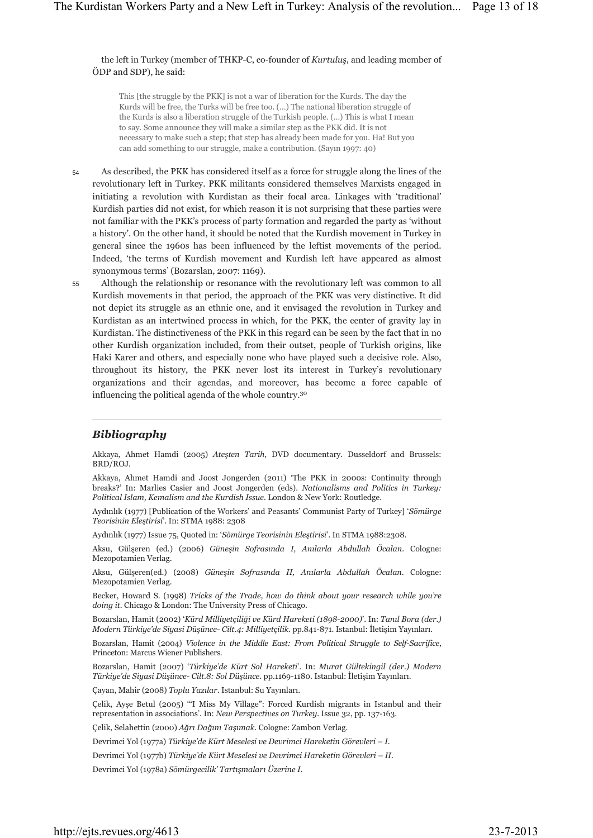the left in Turkey (member of THKP-C, co-founder of *Kurtuluş*, and leading member of ÖDP and SDP), he said:

This [the struggle by the PKK] is not a war of liberation for the Kurds. The day the Kurds will be free, the Turks will be free too. (…) The national liberation struggle of the Kurds is also a liberation struggle of the Turkish people. (…) This is what I mean to say. Some announce they will make a similar step as the PKK did. It is not necessary to make such a step; that step has already been made for you. Ha! But you can add something to our struggle, make a contribution. (Sayın 1997: 40)

- As described, the PKK has considered itself as a force for struggle along the lines of the revolutionary left in Turkey. PKK militants considered themselves Marxists engaged in initiating a revolution with Kurdistan as their focal area. Linkages with 'traditional' Kurdish parties did not exist, for which reason it is not surprising that these parties were not familiar with the PKK's process of party formation and regarded the party as 'without a history'. On the other hand, it should be noted that the Kurdish movement in Turkey in general since the 1960s has been influenced by the leftist movements of the period. Indeed, 'the terms of Kurdish movement and Kurdish left have appeared as almost synonymous terms' (Bozarslan, 2007: 1169). 54
- Although the relationship or resonance with the revolutionary left was common to all Kurdish movements in that period, the approach of the PKK was very distinctive. It did not depict its struggle as an ethnic one, and it envisaged the revolution in Turkey and Kurdistan as an intertwined process in which, for the PKK, the center of gravity lay in Kurdistan. The distinctiveness of the PKK in this regard can be seen by the fact that in no other Kurdish organization included, from their outset, people of Turkish origins, like Haki Karer and others, and especially none who have played such a decisive role. Also, throughout its history, the PKK never lost its interest in Turkey's revolutionary organizations and their agendas, and moreover, has become a force capable of influencing the political agenda of the whole country.30 55

#### *Bibliography*

Akkaya, Ahmet Hamdi (2005) *Ateşten Tarih*, DVD documentary. Dusseldorf and Brussels: BRD/ROJ.

Akkaya, Ahmet Hamdi and Joost Jongerden (2011) 'The PKK in 2000s: Continuity through breaks?' In: Marlies Casier and Joost Jongerden (eds). *Nationalisms and Politics in Turkey: Political Islam, Kemalism and the Kurdish Issue*. London & New York: Routledge.

Aydınlık (1977) [Publication of the Workers' and Peasants' Communist Party of Turkey] '*Sömürge Teorisinin Eleştirisi*'. In: STMA 1988: 2308

Aydınlık (1977) Issue 75, Quoted in: '*Sömürge Teorisinin Eleştirisi*'. In STMA 1988:2308.

Aksu, Gülşeren (ed.) (2006) *Güneşin Sofrasında I, Anılarla Abdullah Öcalan*. Cologne: Mezopotamien Verlag.

Aksu, Gülşeren(ed.) (2008) *Güneşin Sofrasında II, Anılarla Abdullah Öcalan*. Cologne: Mezopotamien Verlag.

Becker, Howard S. (1998) *Tricks of the Trade, how do think about your research while you're doing it*. Chicago & London: The University Press of Chicago.

Bozarslan, Hamit (2002) '*Kürd Milliyetçiliği ve Kürd Hareketi (1898-2000)*'. In: *Tanıl Bora (der.) Modern Türkiye'de Siyasi Düşünce- Cilt.4: Milliyetçilik*. pp.841-871. Istanbul: İletişim Yayınları.

Bozarslan, Hamit (2004) *Violence in the Middle East: From Political Struggle to Self-Sacrifice*, Princeton: Marcus Wiener Publishers.

Bozarslan, Hamit (2007) '*Türkiye'de Kürt Sol Hareketi*'. In: *Murat Gültekingil (der.) Modern Türkiye'de Siyasi Düşünce- Cilt.8: Sol Düşünce*. pp.1169-1180. Istanbul: İletişim Yayınları.

Çayan, Mahir (2008) *Toplu Yazılar*. Istanbul: Su Yayınları.

Çelik, Ayşe Betul (2005) '"I Miss My Village": Forced Kurdish migrants in Istanbul and their representation in associations'. In: *New Perspectives on Turkey*. Issue 32, pp. 137-163.

Çelik, Selahettin (2000) *Ağrı Dağını Taşımak*. Cologne: Zambon Verlag.

Devrimci Yol (1977a) *Türkiye'de Kürt Meselesi ve Devrimci Hareketin Görevleri – I*.

Devrimci Yol (1977b) *Türkiye'de Kürt Meselesi ve Devrimci Hareketin Görevleri – II*.

Devrimci Yol (1978a) *Sömürgecilik' Tartışmaları Üzerine I*.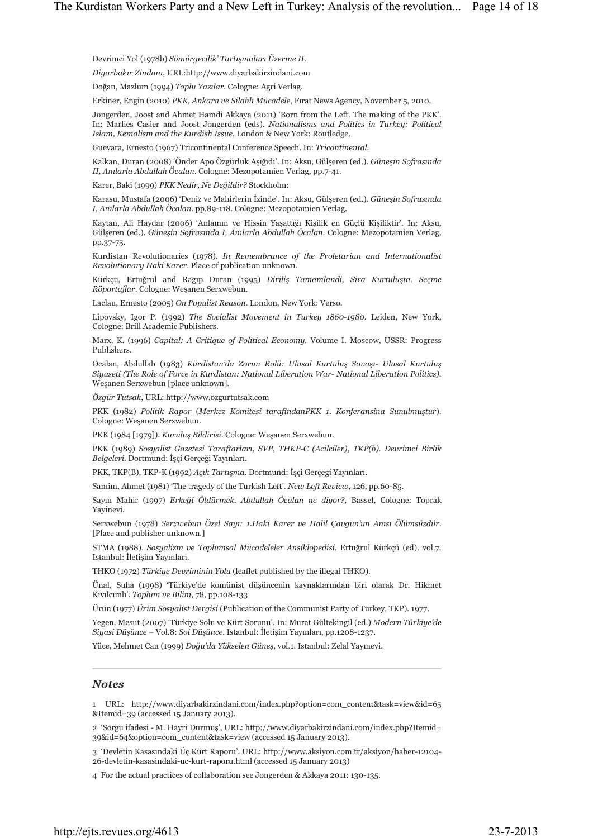Devrimci Yol (1978b) *Sömürgecilik' Tartışmaları Üzerine II*.

*Diyarbakır Zindanı*, URL:http://www.diyarbakirzindani.com

Doğan, Mazlum (1994) *Toplu Yazılar*. Cologne: Agri Verlag.

Erkiner, Engin (2010) *PKK, Ankara ve Silahlı Mücadele*, Fırat News Agency, November 5, 2010.

Jongerden, Joost and Ahmet Hamdi Akkaya (2011) 'Born from the Left. The making of the PKK'. In: Marlies Casier and Joost Jongerden (eds). *Nationalisms and Politics in Turkey: Political Islam, Kemalism and the Kurdish Issue*. London & New York: Routledge.

Guevara, Ernesto (1967) Tricontinental Conference Speech. In: *Tricontinental*.

Kalkan, Duran (2008) 'Önder Apo Özgürlük Aşığıdı'. In: Aksu, Gülşeren (ed.). *Güneşin Sofrasında II, Anılarla Abdullah Öcalan*. Cologne: Mezopotamien Verlag, pp.7-41.

Karer, Baki (1999) *PKK Nedir, Ne Değildir?* Stockholm:

Karasu, Mustafa (2006) 'Deniz ve Mahirlerin İzinde'. In: Aksu, Gülşeren (ed.). *Güneşin Sofrasında I, Anılarla Abdullah Öcalan*. pp.89-118. Cologne: Mezopotamien Verlag.

Kaytan, Ali Haydar (2006) 'Anlamın ve Hissin Yaşattığı Kişilik en Güçlü Kişiliktir'. In: Aksu, Gülşeren (ed.). *Güneşin Sofrasında I, Anılarla Abdullah Öcalan*. Cologne: Mezopotamien Verlag, pp.37-75.

Kurdistan Revolutionaries (1978). *In Remembrance of the Proletarian and Internationalist Revolutionary Haki Karer*. Place of publication unknown.

Kürkçu, Ertuğrul and Ragıp Duran (1995) *Diriliş Tamamlandi, Sira Kurtuluşta. Seçme Röportajlar*. Cologne: Weşanen Serxwebun.

Laclau, Ernesto (2005) *On Populist Reason*. London, New York: Verso.

Lipovsky, Igor P. (1992) *The Socialist Movement in Turkey 1860-1980*. Leiden, New York, Cologne: Brill Academic Publishers.

Marx, K. (1996) *Capital: A Critique of Political Economy.* Volume I. Moscow, USSR: Progress Publishers.

Öcalan, Abdullah (1983) *Kürdistan'da Zorun Rolü: Ulusal Kurtuluş Savaşı- Ulusal Kurtuluş Siyaseti (The Role of Force in Kurdistan: National Liberation War- National Liberation Politics).* Weşanen Serxwebun [place unknown].

*Özgür Tutsak*, URL: http://www.ozgurtutsak.com

PKK (1982) *Politik Rapor* (*Merkez Komitesi tarafindanPKK 1*. *Konferansina Sunulmuştur*). Cologne: Weşanen Serxwebun.

PKK (1984 [1979]). *Kuruluş Bildirisi*. Cologne: Weşanen Serxwebun.

PKK (1989) *Sosyalist Gazetesi Taraftarları, SVP, THKP-C (Acilciler), TKP(b). Devrimci Birlik Belgeleri*. Dortmund: İşçi Gerçeği Yayınları.

PKK, TKP(B), TKP-K (1992) *Açık Tartışma*. Dortmund: İşçi Gerçeği Yayınları.

Samim, Ahmet (1981) 'The tragedy of the Turkish Left'. *New Left Review*, 126, pp.60-85.

Sayın Mahir (1997) *Erkeği Öldürmek. Abdullah Öcalan ne diyor?,* Bassel, Cologne: Toprak Yayinevi.

Serxwebun (1978) *Serxwebun Özel Sayı: 1.Haki Karer ve Halil Çavgun'un Anısı Ölümsüzdür*. [Place and publisher unknown.]

STMA (1988). *Sosyalizm ve Toplumsal Mücadeleler Ansiklopedisi*. Ertuğrul Kürkçü (ed). vol.7. Istanbul: İletişim Yayınları.

THKO (1972) *Türkiye Devriminin Yolu* (leaflet published by the illegal THKO).

Ünal, Suha (1998) 'Türkiye'de komünist düşüncenin kaynaklarından biri olarak Dr. Hikmet Kıvılcımlı'. *Toplum ve Bilim*, 78, pp.108-133

Ürün (1977) *Ürün Sosyalist Dergisi* (Publication of the Communist Party of Turkey, TKP). 1977.

Yegen, Mesut (2007) 'Türkiye Solu ve Kürt Sorunu'. In: Murat Gültekingil (ed*.*) *Modern Türkiye'de Siyasi Düşünce* – Vol.8: *Sol Düşünce*. Istanbul: İletişim Yayınları, pp.1208-1237.

Yüce, Mehmet Can (1999) *Doğu'da Yükselen Güneş*, vol.1. Istanbul: Zelal Yayınevi.

#### *Notes*

1 URL: http://www.diyarbakirzindani.com/index.php?option=com\_content&task=view&id=65 &Itemid=39 (accessed 15 January 2013).

2 'Sorgu ifadesi - M. Hayri Durmuş', URL: http://www.diyarbakirzindani.com/index.php?Itemid= 39&id=64&option=com\_content&task=view (accessed 15 January 2013).

3 'Devletin Kasasındaki Üç Kürt Raporu'. URL: http://www.aksiyon.com.tr/aksiyon/haber-12104- 26-devletin-kasasindaki-uc-kurt-raporu.html (accessed 15 January 2013)

4 For the actual practices of collaboration see Jongerden & Akkaya 2011: 130-135.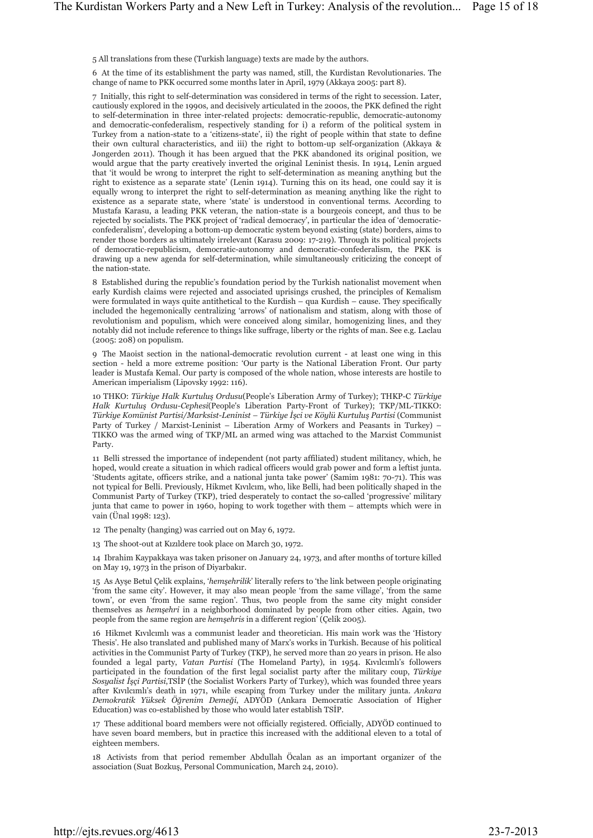5 All translations from these (Turkish language) texts are made by the authors.

6 At the time of its establishment the party was named, still, the Kurdistan Revolutionaries. The change of name to PKK occurred some months later in April, 1979 (Akkaya 2005: part 8).

7 Initially, this right to self-determination was considered in terms of the right to secession. Later, cautiously explored in the 1990s, and decisively articulated in the 2000s, the PKK defined the right to self-determination in three inter-related projects: democratic-republic, democratic-autonomy and democratic-confederalism, respectively standing for i) a reform of the political system in Turkey from a nation-state to a 'citizens-state', ii) the right of people within that state to define their own cultural characteristics, and iii) the right to bottom-up self-organization (Akkaya & Jongerden 2011). Though it has been argued that the PKK abandoned its original position, we would argue that the party creatively inverted the original Leninist thesis. In 1914, Lenin argued that 'it would be wrong to interpret the right to self-determination as meaning anything but the right to existence as a separate state' (Lenin 1914). Turning this on its head, one could say it is equally wrong to interpret the right to self-determination as meaning anything like the right to existence as a separate state, where 'state' is understood in conventional terms. According to Mustafa Karasu, a leading PKK veteran, the nation-state is a bourgeois concept, and thus to be rejected by socialists. The PKK project of 'radical democracy', in particular the idea of 'democraticconfederalism', developing a bottom-up democratic system beyond existing (state) borders, aims to render those borders as ultimately irrelevant (Karasu 2009: 17-219). Through its political projects of democratic-republicism, democratic-autonomy and democratic-confederalism, the PKK is drawing up a new agenda for self-determination, while simultaneously criticizing the concept of the nation-state.

8 Established during the republic's foundation period by the Turkish nationalist movement when early Kurdish claims were rejected and associated uprisings crushed, the principles of Kemalism were formulated in ways quite antithetical to the Kurdish – qua Kurdish – cause. They specifically included the hegemonically centralizing 'arrows' of nationalism and statism, along with those of revolutionism and populism, which were conceived along similar, homogenizing lines, and they notably did not include reference to things like suffrage, liberty or the rights of man. See e.g. Laclau (2005: 208) on populism.

9 The Maoist section in the national-democratic revolution current - at least one wing in this section - held a more extreme position: 'Our party is the National Liberation Front. Our party leader is Mustafa Kemal. Our party is composed of the whole nation, whose interests are hostile to American imperialism (Lipovsky 1992: 116).

10 THKO: *Türkiye Halk Kurtuluş Ordusu*(People's Liberation Army of Turkey); THKP-C *Türkiye Halk Kurtuluş Ordusu-Cephesi*(People's Liberation Party-Front of Turkey); TKP/ML-TIKKO: *Türkiye Komünist Partisi/Marksist-Leninist – Türkiye İşci ve Köylü Kurtuluş Partisi* (Communist Party of Turkey / Marxist-Leninist – Liberation Army of Workers and Peasants in Turkey) – TIKKO was the armed wing of TKP/ML an armed wing was attached to the Marxist Communist Party.

11 Belli stressed the importance of independent (not party affiliated) student militancy, which, he hoped, would create a situation in which radical officers would grab power and form a leftist junta. 'Students agitate, officers strike, and a national junta take power' (Samim 1981: 70-71). This was not typical for Belli. Previously, Hikmet Kıvılcım, who, like Belli, had been politically shaped in the Communist Party of Turkey (TKP), tried desperately to contact the so-called 'progressive' military junta that came to power in 1960, hoping to work together with them – attempts which were in vain (Ünal 1998: 123).

12 The penalty (hanging) was carried out on May 6, 1972.

13 The shoot-out at Kızıldere took place on March 30, 1972.

14 Ibrahim Kaypakkaya was taken prisoner on January 24, 1973, and after months of torture killed on May 19, 1973 in the prison of Diyarbakır.

15 As Ayşe Betul Çelik explains, '*hemşehrilik*' literally refers to 'the link between people originating 'from the same city'. However, it may also mean people 'from the same village', 'from the same town', or even 'from the same region'. Thus, two people from the same city might consider themselves as *hemşehri* in a neighborhood dominated by people from other cities. Again, two people from the same region are *hemşehris* in a different region' (Çelik 2005).

16 Hikmet Kıvılcımlı was a communist leader and theoretician. His main work was the 'History Thesis'. He also translated and published many of Marx's works in Turkish. Because of his political activities in the Communist Party of Turkey (TKP), he served more than 20 years in prison. He also founded a legal party, *Vatan Partisi* (The Homeland Party), in 1954. Kıvılcımlı's followers participated in the foundation of the first legal socialist party after the military coup, *Türkiye Sosyalist İşçi Partisi*,TSİP (the Socialist Workers Party of Turkey), which was founded three years after Kıvılcımlı's death in 1971, while escaping from Turkey under the military junta. *Ankara Demokratik Yüksek Öğrenim Demeği*, ADYÖD (Ankara Democratic Association of Higher Education) was co-established by those who would later establish TSİP.

17 These additional board members were not officially registered. Officially, ADYÖD continued to have seven board members, but in practice this increased with the additional eleven to a total of eighteen members.

18 Activists from that period remember Abdullah Öcalan as an important organizer of the association (Suat Bozkuş, Personal Communication, March 24, 2010).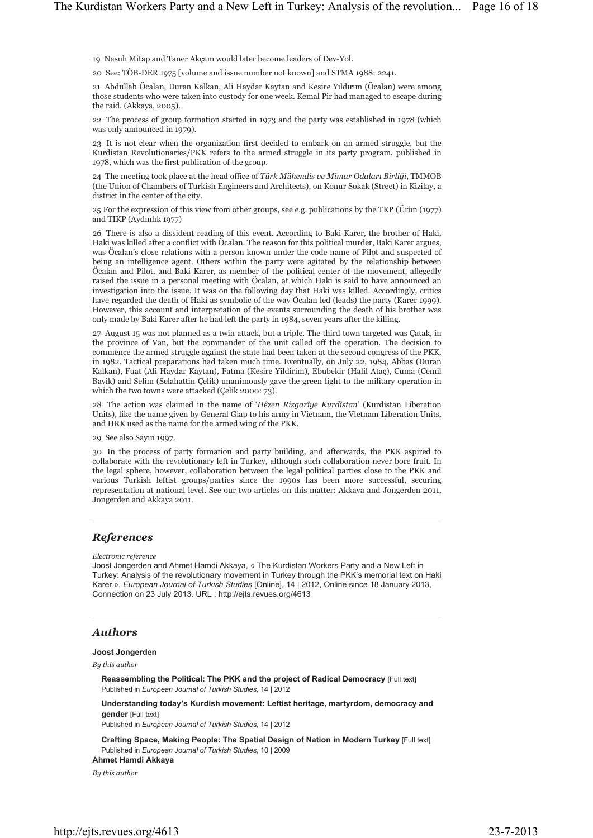19 Nasuh Mitap and Taner Akçam would later become leaders of Dev-Yol.

20 See: TÖB-DER 1975 [volume and issue number not known] and STMA 1988: 2241.

21 Abdullah Öcalan, Duran Kalkan, Ali Haydar Kaytan and Kesire Yıldırım (Öcalan) were among those students who were taken into custody for one week. Kemal Pir had managed to escape during the raid. (Akkaya, 2005).

22 The process of group formation started in 1973 and the party was established in 1978 (which was only announced in 1979).

23 It is not clear when the organization first decided to embark on an armed struggle, but the Kurdistan Revolutionaries/PKK refers to the armed struggle in its party program, published in 1978, which was the first publication of the group.

24 The meeting took place at the head office of *Türk Mühendis ve Mimar Odaları Birliği*, TMMOB (the Union of Chambers of Turkish Engineers and Architects), on Konur Sokak (Street) in Kizilay, a district in the center of the city.

25 For the expression of this view from other groups, see e.g. publications by the TKP (Ürün (1977) and TIKP (Aydınlık 1977)

26 There is also a dissident reading of this event. According to Baki Karer, the brother of Haki, Haki was killed after a conflict with Öcalan. The reason for this political murder, Baki Karer argues, was Öcalan's close relations with a person known under the code name of Pilot and suspected of being an intelligence agent. Others within the party were agitated by the relationship between Öcalan and Pilot, and Baki Karer, as member of the political center of the movement, allegedly raised the issue in a personal meeting with Öcalan, at which Haki is said to have announced an investigation into the issue. It was on the following day that Haki was killed. Accordingly, critics have regarded the death of Haki as symbolic of the way Öcalan led (leads) the party (Karer 1999). However, this account and interpretation of the events surrounding the death of his brother was only made by Baki Karer after he had left the party in 1984, seven years after the killing.

27 August 15 was not planned as a twin attack, but a triple. The third town targeted was Çatak, in the province of Van, but the commander of the unit called off the operation. The decision to commence the armed struggle against the state had been taken at the second congress of the PKK, in 1982. Tactical preparations had taken much time. Eventually, on July 22, 1984, Abbas (Duran Kalkan), Fuat (Ali Haydar Kaytan), Fatma (Kesire Yildirim), Ebubekir (Halil Ataç), Cuma (Cemil Bayik) and Selim (Selahattin Çelik) unanimously gave the green light to the military operation in which the two towns were attacked (Çelik 2000: 73).

28 The action was claimed in the name of '*Hêzen Rizgarîye Kurdîstan*' (Kurdistan Liberation Units), like the name given by General Giap to his army in Vietnam, the Vietnam Liberation Units, and HRK used as the name for the armed wing of the PKK.

29 See also Sayın 1997.

30 In the process of party formation and party building, and afterwards, the PKK aspired to collaborate with the revolutionary left in Turkey, although such collaboration never bore fruit. In the legal sphere, however, collaboration between the legal political parties close to the PKK and various Turkish leftist groups/parties since the 1990s has been more successful, securing representation at national level. See our two articles on this matter: Akkaya and Jongerden 2011, Jongerden and Akkaya 2011.

#### *References*

*Electronic reference*

Joost Jongerden and Ahmet Hamdi Akkaya, « The Kurdistan Workers Party and a New Left in Turkey: Analysis of the revolutionary movement in Turkey through the PKK's memorial text on Haki Karer », *European Journal of Turkish Studies* [Online], 14 | 2012, Online since 18 January 2013, Connection on 23 July 2013. URL : http://ejts.revues.org/4613

#### *Authors*

#### **Joost Jongerden**

*By this author*

**Reassembling the Political: The PKK and the project of Radical Democracy** [Full text] Published in *European Journal of Turkish Studies*, 14 | 2012

**Understanding today's Kurdish movement: Leftist heritage, martyrdom, democracy and gender** [Full text]

Published in *European Journal of Turkish Studies*, 14 | 2012

**Crafting Space, Making People: The Spatial Design of Nation in Modern Turkey** [Full text] Published in *European Journal of Turkish Studies*, 10 | 2009

#### **Ahmet Hamdi Akkaya**

*By this author*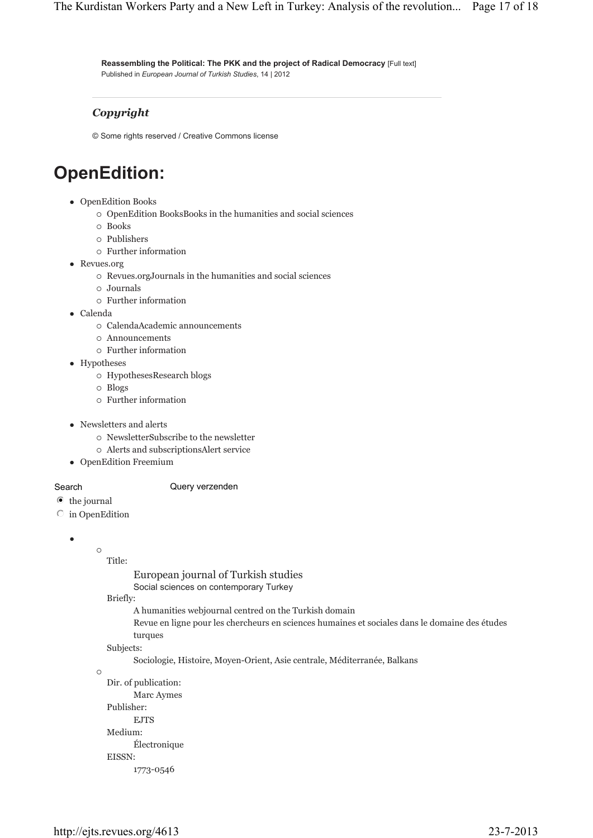**Reassembling the Political: The PKK and the project of Radical Democracy** [Full text] Published in *European Journal of Turkish Studies*, 14 | 2012

### *Copyright*

© Some rights reserved / Creative Commons license

## **OpenEdition:**

- OpenEdition Books
	- { OpenEdition BooksBooks in the humanities and social sciences
	- $\circ$  Books
	- { Publishers
	- { Further information
- Revues.org
	- { Revues.orgJournals in the humanities and social sciences
	- ${\scriptstyle\circ}\,$  Journals
	- { Further information
- $\bullet$  Calenda
	- { CalendaAcademic announcements
	- { Announcements
	- { Further information
- Hypotheses
	- { HypothesesResearch blogs
	- { Blogs
	- { Further information
- Newsletters and alerts
	- { NewsletterSubscribe to the newsletter
	- { Alerts and subscriptionsAlert service
- OpenEdition Freemium

#### Search **Query verzenden**

- the journal
- $\circ$  in OpenEdition

```
\bullet
```

```
\circ
```
- Title:
- European journal of Turkish studies
- Social sciences on contemporary Turkey

Briefly:

- A humanities webjournal centred on the Turkish domain
- Revue en ligne pour les chercheurs en sciences humaines et sociales dans le domaine des études turques

Subjects:

Sociologie, Histoire, Moyen-Orient, Asie centrale, Méditerranée, Balkans

 $\circ$ 

Dir. of publication: Marc Aymes Publisher: EJTS Medium: Électronique EISSN:

1773-0546